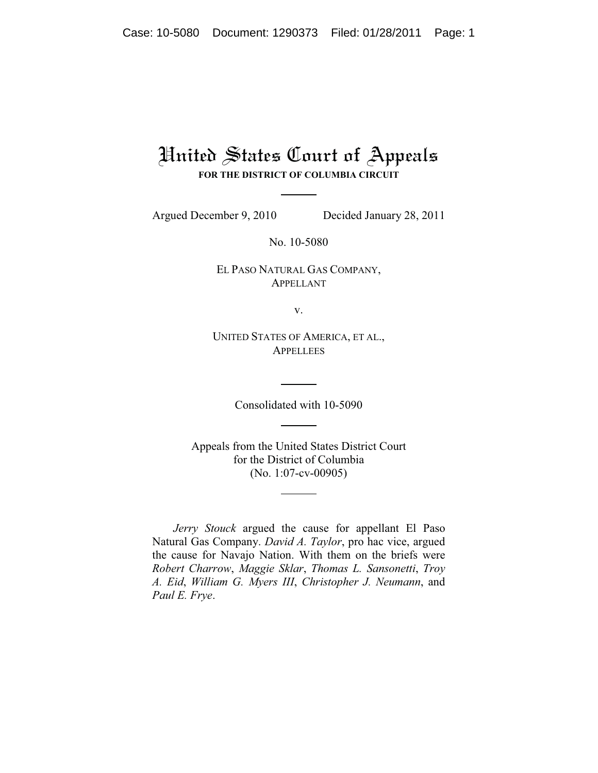## United States Court of Appeals

**FOR THE DISTRICT OF COLUMBIA CIRCUIT**

Argued December 9, 2010 Decided January 28, 2011

No. 10-5080

EL PASO NATURAL GAS COMPANY, APPELLANT

v.

UNITED STATES OF AMERICA, ET AL., **APPELLEES** 

Consolidated with 10-5090

Appeals from the United States District Court for the District of Columbia (No. 1:07-cv-00905)

*Jerry Stouck* argued the cause for appellant El Paso Natural Gas Company. *David A. Taylor*, pro hac vice, argued the cause for Navajo Nation. With them on the briefs were *Robert Charrow*, *Maggie Sklar*, *Thomas L. Sansonetti*, *Troy A. Eid*, *William G. Myers III*, *Christopher J. Neumann*, and *Paul E. Frye*.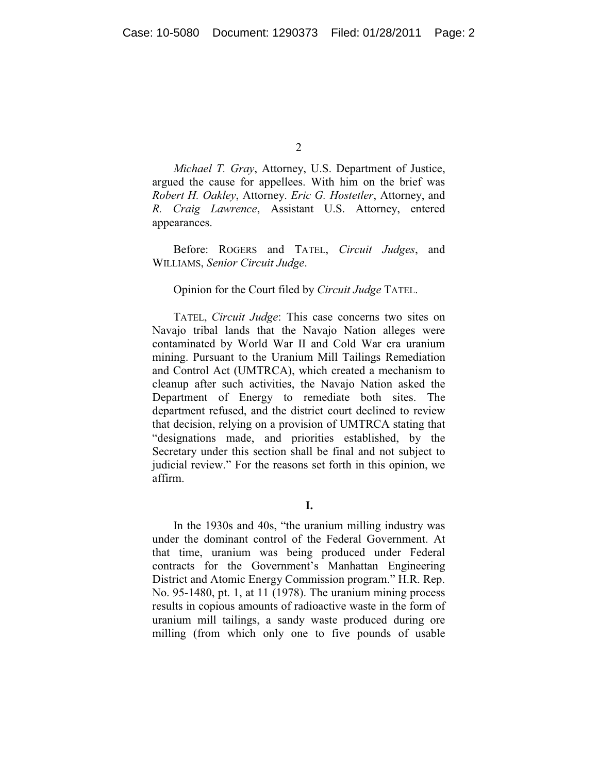$\mathfrak{D}$ 

*Michael T. Gray*, Attorney, U.S. Department of Justice, argued the cause for appellees. With him on the brief was *Robert H. Oakley*, Attorney. *Eric G. Hostetler*, Attorney, and *R. Craig Lawrence*, Assistant U.S. Attorney, entered appearances.

Before: ROGERS and TATEL, *Circuit Judges*, and WILLIAMS, *Senior Circuit Judge*.

## Opinion for the Court filed by *Circuit Judge* TATEL.

TATEL, *Circuit Judge*: This case concerns two sites on Navajo tribal lands that the Navajo Nation alleges were contaminated by World War II and Cold War era uranium mining. Pursuant to the Uranium Mill Tailings Remediation and Control Act (UMTRCA), which created a mechanism to cleanup after such activities, the Navajo Nation asked the Department of Energy to remediate both sites. The department refused, and the district court declined to review that decision, relying on a provision of UMTRCA stating that "designations made, and priorities established, by the Secretary under this section shall be final and not subject to judicial review." For the reasons set forth in this opinion, we affirm.

**I.**

In the 1930s and 40s, "the uranium milling industry was under the dominant control of the Federal Government. At that time, uranium was being produced under Federal contracts for the Government's Manhattan Engineering District and Atomic Energy Commission program." H.R. Rep. No. 95-1480, pt. 1, at 11 (1978). The uranium mining process results in copious amounts of radioactive waste in the form of uranium mill tailings, a sandy waste produced during ore milling (from which only one to five pounds of usable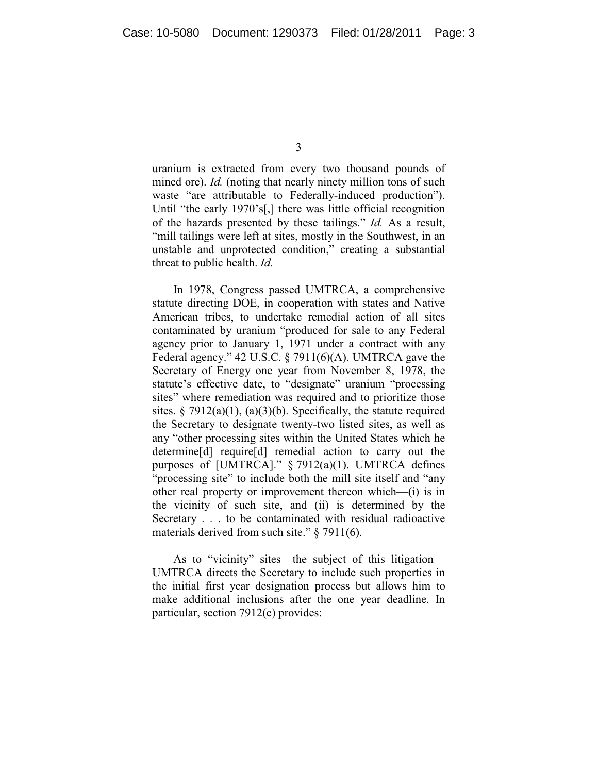uranium is extracted from every two thousand pounds of mined ore). *Id.* (noting that nearly ninety million tons of such waste "are attributable to Federally-induced production"). Until "the early 1970's[,] there was little official recognition of the hazards presented by these tailings." *Id.* As a result, "mill tailings were left at sites, mostly in the Southwest, in an unstable and unprotected condition," creating a substantial threat to public health. *Id.*

In 1978, Congress passed UMTRCA, a comprehensive statute directing DOE, in cooperation with states and Native American tribes, to undertake remedial action of all sites contaminated by uranium "produced for sale to any Federal agency prior to January 1, 1971 under a contract with any Federal agency." 42 U.S.C. § 7911(6)(A). UMTRCA gave the Secretary of Energy one year from November 8, 1978, the statute's effective date, to "designate" uranium "processing sites" where remediation was required and to prioritize those sites.  $\S 7912(a)(1)$ , (a)(3)(b). Specifically, the statute required the Secretary to designate twenty-two listed sites, as well as any "other processing sites within the United States which he determine[d] require[d] remedial action to carry out the purposes of [UMTRCA]." § 7912(a)(1). UMTRCA defines "processing site" to include both the mill site itself and "any" other real property or improvement thereon which—(i) is in the vicinity of such site, and (ii) is determined by the Secretary . . . to be contaminated with residual radioactive materials derived from such site." § 7911(6).

As to "vicinity" sites—the subject of this litigation— UMTRCA directs the Secretary to include such properties in the initial first year designation process but allows him to make additional inclusions after the one year deadline. In particular, section 7912(e) provides: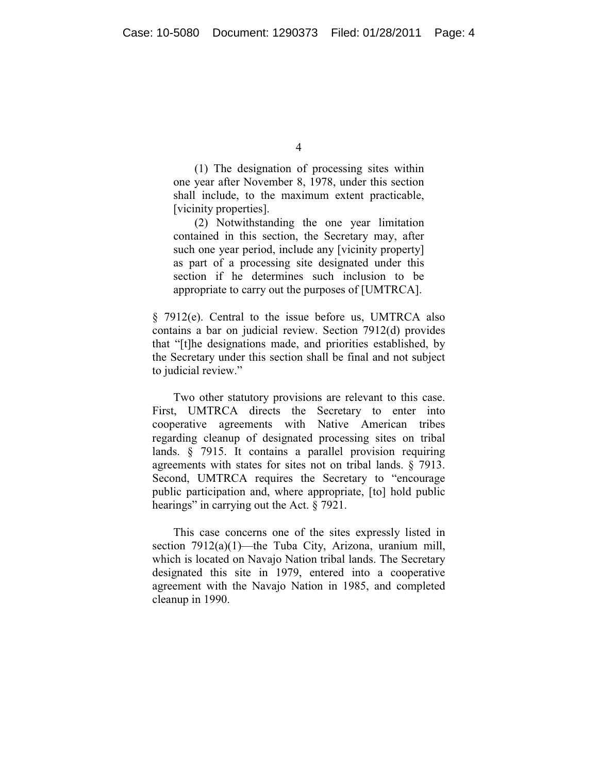(1) The designation of processing sites within one year after November 8, 1978, under this section shall include, to the maximum extent practicable, [vicinity properties].

(2) Notwithstanding the one year limitation contained in this section, the Secretary may, after such one year period, include any [vicinity property] as part of a processing site designated under this section if he determines such inclusion to be appropriate to carry out the purposes of [UMTRCA].

§ 7912(e). Central to the issue before us, UMTRCA also contains a bar on judicial review. Section 7912(d) provides that "[t]he designations made, and priorities established, by the Secretary under this section shall be final and not subject to judicial review."

Two other statutory provisions are relevant to this case. First, UMTRCA directs the Secretary to enter into cooperative agreements with Native American tribes regarding cleanup of designated processing sites on tribal lands. § 7915. It contains a parallel provision requiring agreements with states for sites not on tribal lands. § 7913. Second, UMTRCA requires the Secretary to "encourage public participation and, where appropriate, [to] hold public hearings" in carrying out the Act. § 7921.

This case concerns one of the sites expressly listed in section 7912(a)(1)—the Tuba City, Arizona, uranium mill, which is located on Navajo Nation tribal lands. The Secretary designated this site in 1979, entered into a cooperative agreement with the Navajo Nation in 1985, and completed cleanup in 1990.

<sup>4</sup>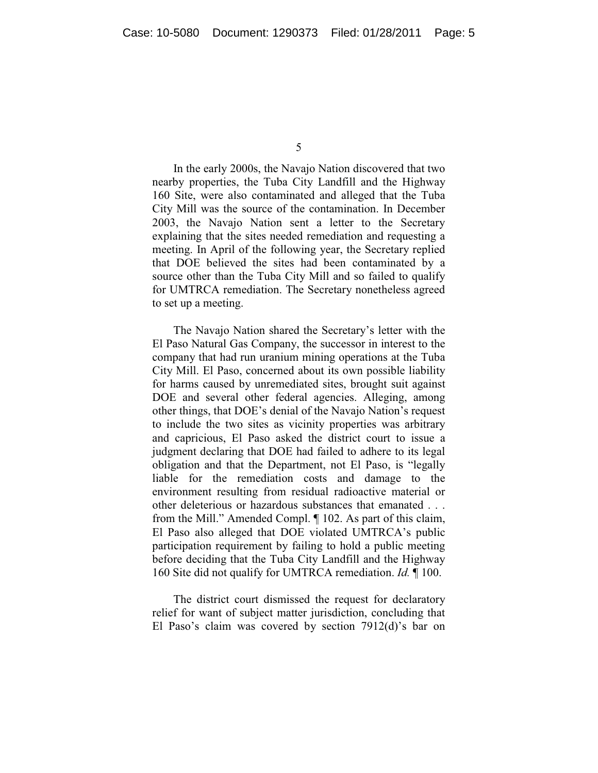In the early 2000s, the Navajo Nation discovered that two nearby properties, the Tuba City Landfill and the Highway 160 Site, were also contaminated and alleged that the Tuba City Mill was the source of the contamination. In December 2003, the Navajo Nation sent a letter to the Secretary explaining that the sites needed remediation and requesting a meeting. In April of the following year, the Secretary replied that DOE believed the sites had been contaminated by a source other than the Tuba City Mill and so failed to qualify for UMTRCA remediation. The Secretary nonetheless agreed to set up a meeting.

The Navajo Nation shared the Secretary's letter with the El Paso Natural Gas Company, the successor in interest to the company that had run uranium mining operations at the Tuba City Mill. El Paso, concerned about its own possible liability for harms caused by unremediated sites, brought suit against DOE and several other federal agencies. Alleging, among other things, that DOE's denial of the Navajo Nation's request to include the two sites as vicinity properties was arbitrary and capricious, El Paso asked the district court to issue a judgment declaring that DOE had failed to adhere to its legal obligation and that the Department, not El Paso, is "legally liable for the remediation costs and damage to the environment resulting from residual radioactive material or other deleterious or hazardous substances that emanated . . . from the Mill." Amended Compl. ¶ 102. As part of this claim, El Paso also alleged that DOE violated UMTRCA's public participation requirement by failing to hold a public meeting before deciding that the Tuba City Landfill and the Highway 160 Site did not qualify for UMTRCA remediation. *Id.* ¶ 100.

The district court dismissed the request for declaratory relief for want of subject matter jurisdiction, concluding that El Paso's claim was covered by section 7912(d)'s bar on

<sup>5</sup>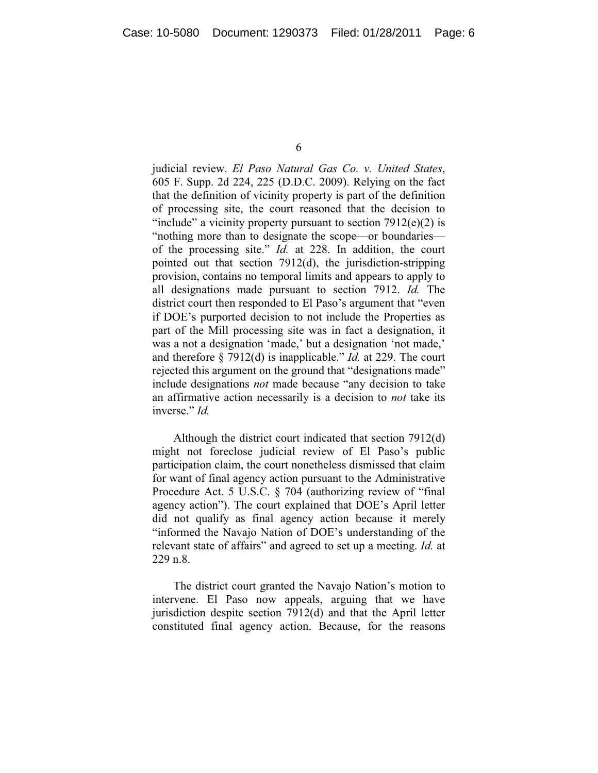6

judicial review. *El Paso Natural Gas Co. v. United States*, 605 F. Supp. 2d 224, 225 (D.D.C. 2009). Relying on the fact that the definition of vicinity property is part of the definition of processing site, the court reasoned that the decision to "include" a vicinity property pursuant to section  $7912(e)(2)$  is "nothing more than to designate the scope—or boundaries of the processing site." *Id.* at 228. In addition, the court pointed out that section 7912(d), the jurisdiction-stripping provision, contains no temporal limits and appears to apply to all designations made pursuant to section 7912. *Id.* The district court then responded to El Paso's argument that "even if DOE's purported decision to not include the Properties as part of the Mill processing site was in fact a designation, it was a not a designation 'made,' but a designation 'not made,' and therefore § 7912(d) is inapplicable." *Id.* at 229. The court rejected this argument on the ground that "designations made" include designations *not* made because "any decision to take an affirmative action necessarily is a decision to *not* take its inverse." *Id.*

Although the district court indicated that section 7912(d) might not foreclose judicial review of El Paso's public participation claim, the court nonetheless dismissed that claim for want of final agency action pursuant to the Administrative Procedure Act. 5 U.S.C. § 704 (authorizing review of "final agency action"). The court explained that DOE's April letter did not qualify as final agency action because it merely "informed the Navajo Nation of DOE's understanding of the relevant state of affairs" and agreed to set up a meeting. *Id.* at 229 n.8.

The district court granted the Navajo Nation's motion to intervene. El Paso now appeals, arguing that we have jurisdiction despite section 7912(d) and that the April letter constituted final agency action. Because, for the reasons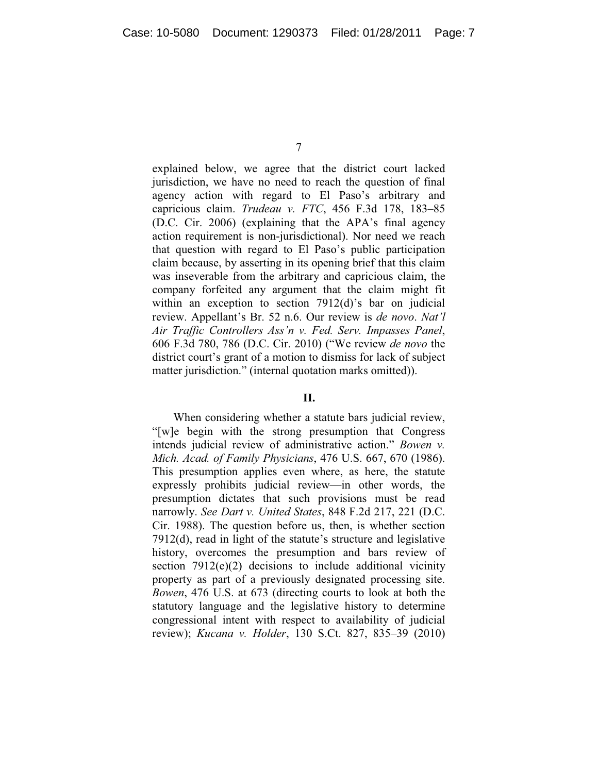explained below, we agree that the district court lacked jurisdiction, we have no need to reach the question of final agency action with regard to El Paso's arbitrary and capricious claim. *Trudeau v. FTC*, 456 F.3d 178, 183–85 (D.C. Cir. 2006) (explaining that the APA's final agency action requirement is non-jurisdictional). Nor need we reach that question with regard to El Paso's public participation claim because, by asserting in its opening brief that this claim was inseverable from the arbitrary and capricious claim, the company forfeited any argument that the claim might fit within an exception to section 7912(d)'s bar on judicial review. Appellant's Br. 52 n.6. Our review is *de novo*. *Nat'l Air Traffic Controllers Ass'n v. Fed. Serv. Impasses Panel*, 606 F.3d 780, 786 (D.C. Cir. 2010) ("We review *de novo* the district court's grant of a motion to dismiss for lack of subject matter jurisdiction." (internal quotation marks omitted)).

## **II.**

When considering whether a statute bars judicial review, "[w]e begin with the strong presumption that Congress intends judicial review of administrative action." *Bowen v. Mich. Acad. of Family Physicians*, 476 U.S. 667, 670 (1986). This presumption applies even where, as here, the statute expressly prohibits judicial review—in other words, the presumption dictates that such provisions must be read narrowly. *See Dart v. United States*, 848 F.2d 217, 221 (D.C. Cir. 1988). The question before us, then, is whether section 7912(d), read in light of the statute's structure and legislative history, overcomes the presumption and bars review of section  $7912(e)(2)$  decisions to include additional vicinity property as part of a previously designated processing site. *Bowen*, 476 U.S. at 673 (directing courts to look at both the statutory language and the legislative history to determine congressional intent with respect to availability of judicial review); *Kucana v. Holder*, 130 S.Ct. 827, 835–39 (2010)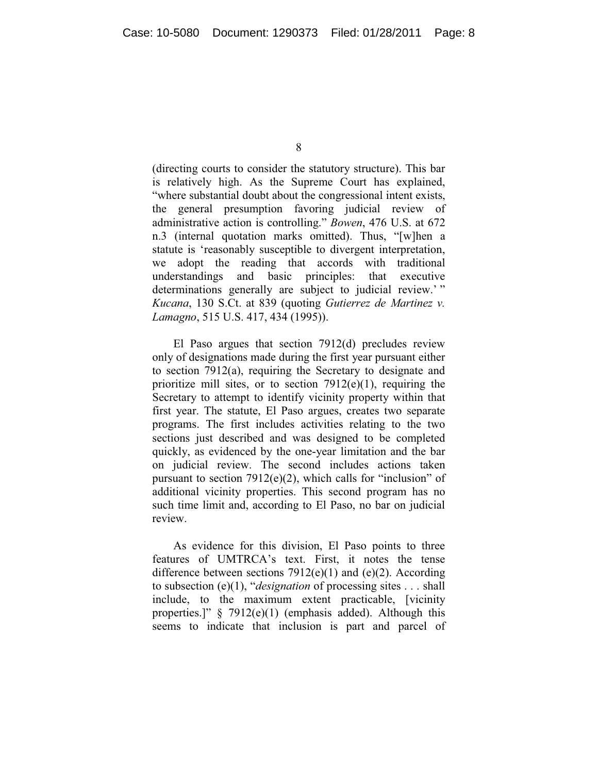(directing courts to consider the statutory structure). This bar is relatively high. As the Supreme Court has explained, "where substantial doubt about the congressional intent exists, the general presumption favoring judicial review of administrative action is controlling." *Bowen*, 476 U.S. at 672 n.3 (internal quotation marks omitted). Thus, "[w]hen a statute is 'reasonably susceptible to divergent interpretation, we adopt the reading that accords with traditional understandings and basic principles: that executive determinations generally are subject to judicial review.'" *Kucana*, 130 S.Ct. at 839 (quoting *Gutierrez de Martinez v. Lamagno*, 515 U.S. 417, 434 (1995)).

El Paso argues that section 7912(d) precludes review only of designations made during the first year pursuant either to section 7912(a), requiring the Secretary to designate and prioritize mill sites, or to section  $7912(e)(1)$ , requiring the Secretary to attempt to identify vicinity property within that first year. The statute, El Paso argues, creates two separate programs. The first includes activities relating to the two sections just described and was designed to be completed quickly, as evidenced by the one-year limitation and the bar on judicial review. The second includes actions taken pursuant to section 7912(e)(2), which calls for "inclusion" of additional vicinity properties. This second program has no such time limit and, according to El Paso, no bar on judicial review.

As evidence for this division, El Paso points to three features of UMTRCA's text. First, it notes the tense difference between sections  $7912(e)(1)$  and  $(e)(2)$ . According to subsection (e)(1), "*designation* of processing sites . . . shall include, to the maximum extent practicable, [vicinity properties.]" § 7912(e)(1) (emphasis added). Although this seems to indicate that inclusion is part and parcel of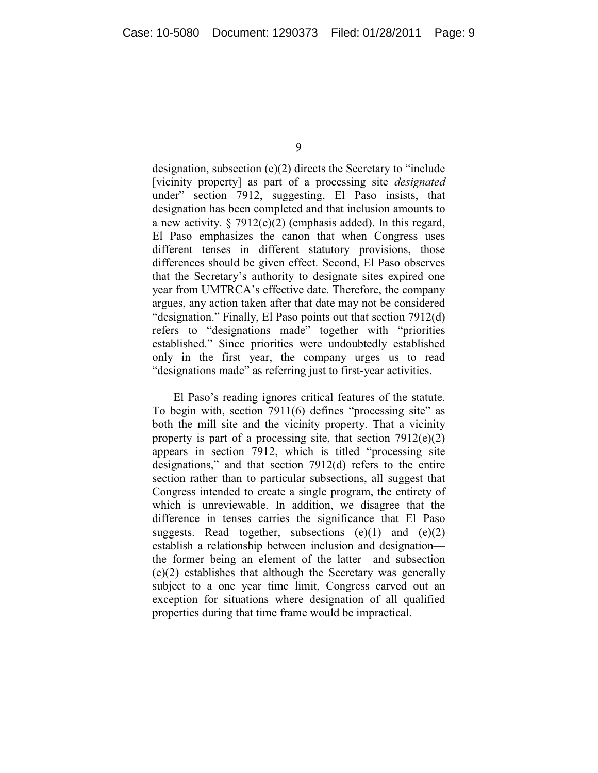designation, subsection (e)(2) directs the Secretary to "include [vicinity property] as part of a processing site *designated*  under" section 7912, suggesting, El Paso insists, that designation has been completed and that inclusion amounts to a new activity.  $\S 7912(e)(2)$  (emphasis added). In this regard, El Paso emphasizes the canon that when Congress uses different tenses in different statutory provisions, those differences should be given effect. Second, El Paso observes that the Secretary's authority to designate sites expired one year from UMTRCA's effective date. Therefore, the company argues, any action taken after that date may not be considered "designation." Finally, El Paso points out that section 7912(d) refers to "designations made" together with "priorities established." Since priorities were undoubtedly established only in the first year, the company urges us to read "designations made" as referring just to first-year activities.

El Paso's reading ignores critical features of the statute. To begin with, section 7911(6) defines "processing site" as both the mill site and the vicinity property. That a vicinity property is part of a processing site, that section 7912(e)(2) appears in section 7912, which is titled "processing site designations," and that section 7912(d) refers to the entire section rather than to particular subsections, all suggest that Congress intended to create a single program, the entirety of which is unreviewable. In addition, we disagree that the difference in tenses carries the significance that El Paso suggests. Read together, subsections  $(e)(1)$  and  $(e)(2)$ establish a relationship between inclusion and designation the former being an element of the latter—and subsection (e)(2) establishes that although the Secretary was generally subject to a one year time limit, Congress carved out an exception for situations where designation of all qualified properties during that time frame would be impractical.

<sup>9</sup>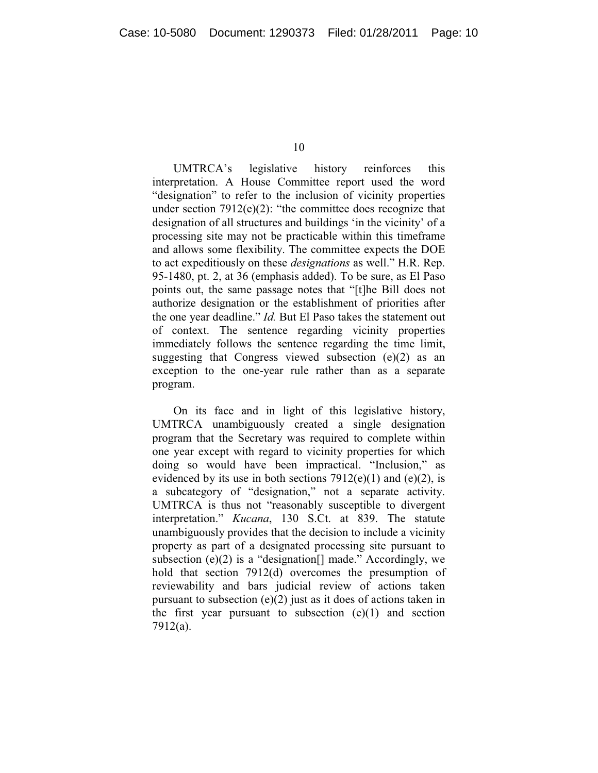10

UMTRCA's legislative history reinforces this interpretation. A House Committee report used the word "designation" to refer to the inclusion of vicinity properties under section  $7912(e)(2)$ : "the committee does recognize that designation of all structures and buildings 'in the vicinity' of a processing site may not be practicable within this timeframe and allows some flexibility. The committee expects the DOE to act expeditiously on these *designations* as well." H.R. Rep. 95-1480, pt. 2, at 36 (emphasis added). To be sure, as El Paso points out, the same passage notes that "[t]he Bill does not authorize designation or the establishment of priorities after the one year deadline." *Id.* But El Paso takes the statement out of context. The sentence regarding vicinity properties immediately follows the sentence regarding the time limit, suggesting that Congress viewed subsection  $(e)(2)$  as an exception to the one-year rule rather than as a separate program.

On its face and in light of this legislative history, UMTRCA unambiguously created a single designation program that the Secretary was required to complete within one year except with regard to vicinity properties for which doing so would have been impractical. "Inclusion," as evidenced by its use in both sections  $7912(e)(1)$  and  $(e)(2)$ , is a subcategory of "designation," not a separate activity. UMTRCA is thus not "reasonably susceptible to divergent interpretation." *Kucana*, 130 S.Ct. at 839. The statute unambiguously provides that the decision to include a vicinity property as part of a designated processing site pursuant to subsection (e)(2) is a "designation.] made." Accordingly, we hold that section 7912(d) overcomes the presumption of reviewability and bars judicial review of actions taken pursuant to subsection  $(e)(2)$  just as it does of actions taken in the first year pursuant to subsection  $(e)(1)$  and section 7912(a).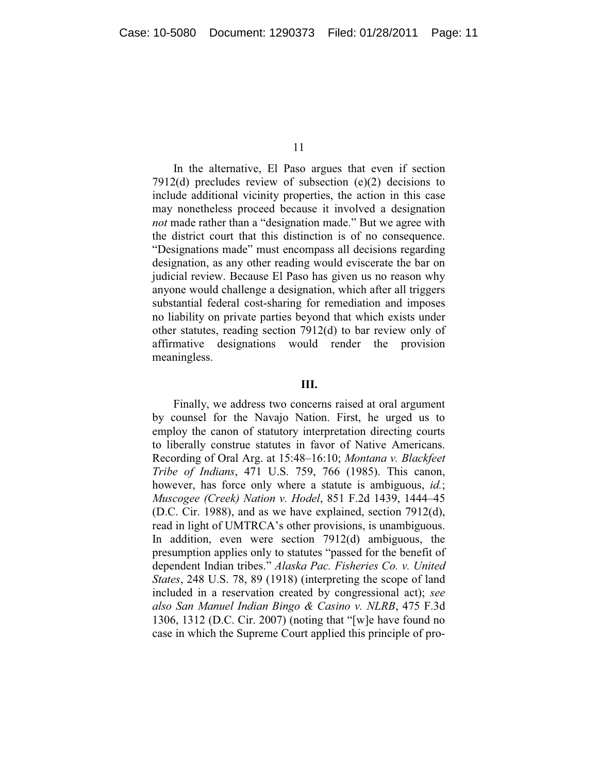In the alternative, El Paso argues that even if section 7912(d) precludes review of subsection (e)(2) decisions to include additional vicinity properties, the action in this case may nonetheless proceed because it involved a designation *not* made rather than a "designation made." But we agree with the district court that this distinction is of no consequence. "Designations made" must encompass all decisions regarding designation, as any other reading would eviscerate the bar on judicial review. Because El Paso has given us no reason why anyone would challenge a designation, which after all triggers substantial federal cost-sharing for remediation and imposes no liability on private parties beyond that which exists under other statutes, reading section 7912(d) to bar review only of affirmative designations would render the provision meaningless.

## **III.**

Finally, we address two concerns raised at oral argument by counsel for the Navajo Nation. First, he urged us to employ the canon of statutory interpretation directing courts to liberally construe statutes in favor of Native Americans. Recording of Oral Arg. at 15:48–16:10; *Montana v. Blackfeet Tribe of Indians*, 471 U.S. 759, 766 (1985). This canon, however, has force only where a statute is ambiguous, *id.*; *Muscogee (Creek) Nation v. Hodel*, 851 F.2d 1439, 1444–45 (D.C. Cir. 1988), and as we have explained, section 7912(d), read in light of UMTRCA's other provisions, is unambiguous. In addition, even were section 7912(d) ambiguous, the presumption applies only to statutes "passed for the benefit of dependent Indian tribes." *Alaska Pac. Fisheries Co. v. United States*, 248 U.S. 78, 89 (1918) (interpreting the scope of land included in a reservation created by congressional act); *see also San Manuel Indian Bingo & Casino v. NLRB*, 475 F.3d 1306, 1312 (D.C. Cir. 2007) (noting that "[w]e have found no case in which the Supreme Court applied this principle of pro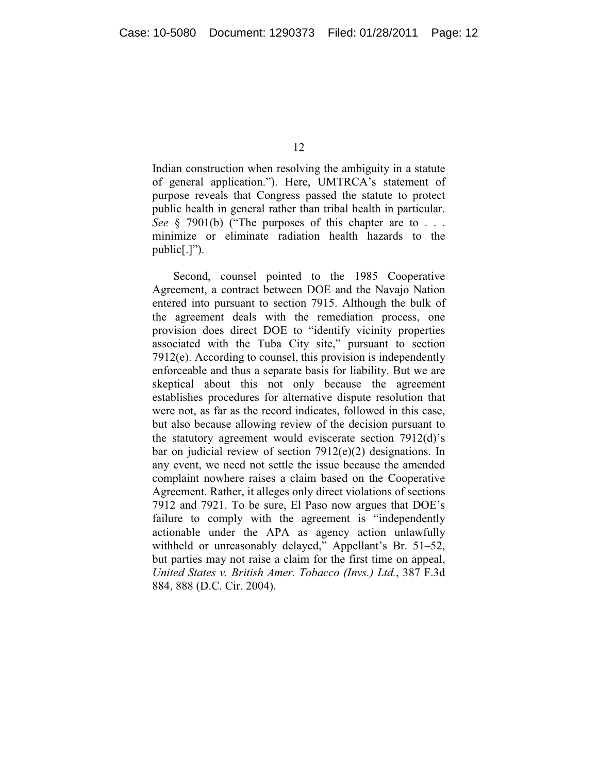Indian construction when resolving the ambiguity in a statute of general application."). Here, UMTRCA's statement of purpose reveals that Congress passed the statute to protect public health in general rather than tribal health in particular. *See* § 7901(b) ("The purposes of this chapter are to . . . minimize or eliminate radiation health hazards to the public[.]").

Second, counsel pointed to the 1985 Cooperative Agreement, a contract between DOE and the Navajo Nation entered into pursuant to section 7915. Although the bulk of the agreement deals with the remediation process, one provision does direct DOE to "identify vicinity properties associated with the Tuba City site," pursuant to section 7912(e). According to counsel, this provision is independently enforceable and thus a separate basis for liability. But we are skeptical about this not only because the agreement establishes procedures for alternative dispute resolution that were not, as far as the record indicates, followed in this case, but also because allowing review of the decision pursuant to the statutory agreement would eviscerate section 7912(d)'s bar on judicial review of section 7912(e)(2) designations. In any event, we need not settle the issue because the amended complaint nowhere raises a claim based on the Cooperative Agreement. Rather, it alleges only direct violations of sections 7912 and 7921. To be sure, El Paso now argues that DOE's failure to comply with the agreement is "independently actionable under the APA as agency action unlawfully withheld or unreasonably delayed," Appellant's Br. 51–52, but parties may not raise a claim for the first time on appeal, *United States v. British Amer. Tobacco (Invs.) Ltd.*, 387 F.3d 884, 888 (D.C. Cir. 2004).